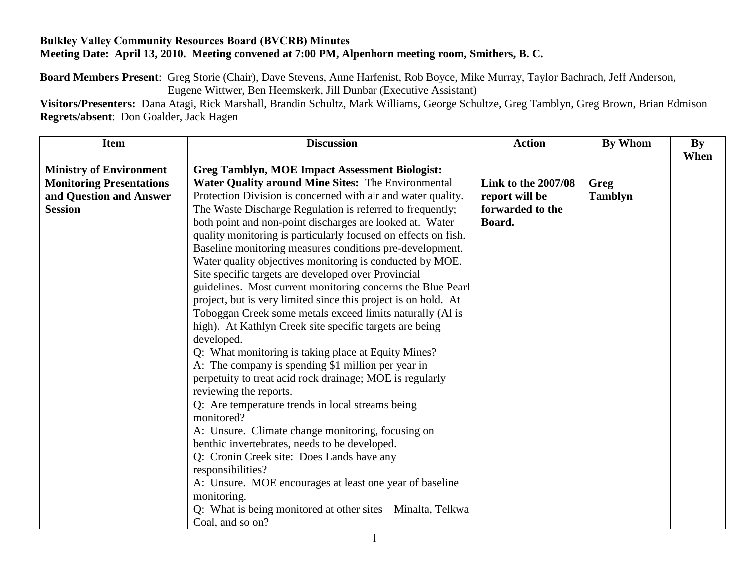## **Bulkley Valley Community Resources Board (BVCRB) Minutes Meeting Date: April 13, 2010. Meeting convened at 7:00 PM, Alpenhorn meeting room, Smithers, B. C.**

**Board Members Present**: Greg Storie (Chair), Dave Stevens, Anne Harfenist, Rob Boyce, Mike Murray, Taylor Bachrach, Jeff Anderson, Eugene Wittwer, Ben Heemskerk, Jill Dunbar (Executive Assistant)

**Visitors/Presenters:** Dana Atagi, Rick Marshall, Brandin Schultz, Mark Williams, George Schultze, Greg Tamblyn, Greg Brown, Brian Edmison **Regrets/absent**: Don Goalder, Jack Hagen

| <b>Item</b>                     | <b>Discussion</b>                                              | <b>Action</b>              | By Whom        | <b>By</b> |
|---------------------------------|----------------------------------------------------------------|----------------------------|----------------|-----------|
|                                 |                                                                |                            |                | When      |
| <b>Ministry of Environment</b>  | <b>Greg Tamblyn, MOE Impact Assessment Biologist:</b>          |                            |                |           |
| <b>Monitoring Presentations</b> | Water Quality around Mine Sites: The Environmental             | <b>Link to the 2007/08</b> | Greg           |           |
| and Question and Answer         | Protection Division is concerned with air and water quality.   | report will be             | <b>Tamblyn</b> |           |
| <b>Session</b>                  | The Waste Discharge Regulation is referred to frequently;      | forwarded to the           |                |           |
|                                 | both point and non-point discharges are looked at. Water       | Board.                     |                |           |
|                                 | quality monitoring is particularly focused on effects on fish. |                            |                |           |
|                                 | Baseline monitoring measures conditions pre-development.       |                            |                |           |
|                                 | Water quality objectives monitoring is conducted by MOE.       |                            |                |           |
|                                 | Site specific targets are developed over Provincial            |                            |                |           |
|                                 | guidelines. Most current monitoring concerns the Blue Pearl    |                            |                |           |
|                                 | project, but is very limited since this project is on hold. At |                            |                |           |
|                                 | Toboggan Creek some metals exceed limits naturally (Al is      |                            |                |           |
|                                 | high). At Kathlyn Creek site specific targets are being        |                            |                |           |
|                                 | developed.                                                     |                            |                |           |
|                                 | Q: What monitoring is taking place at Equity Mines?            |                            |                |           |
|                                 | A: The company is spending \$1 million per year in             |                            |                |           |
|                                 | perpetuity to treat acid rock drainage; MOE is regularly       |                            |                |           |
|                                 | reviewing the reports.                                         |                            |                |           |
|                                 | Q: Are temperature trends in local streams being               |                            |                |           |
|                                 | monitored?                                                     |                            |                |           |
|                                 | A: Unsure. Climate change monitoring, focusing on              |                            |                |           |
|                                 | benthic invertebrates, needs to be developed.                  |                            |                |           |
|                                 | Q: Cronin Creek site: Does Lands have any                      |                            |                |           |
|                                 | responsibilities?                                              |                            |                |           |
|                                 | A: Unsure. MOE encourages at least one year of baseline        |                            |                |           |
|                                 | monitoring.                                                    |                            |                |           |
|                                 | Q: What is being monitored at other sites – Minalta, Telkwa    |                            |                |           |
|                                 | Coal, and so on?                                               |                            |                |           |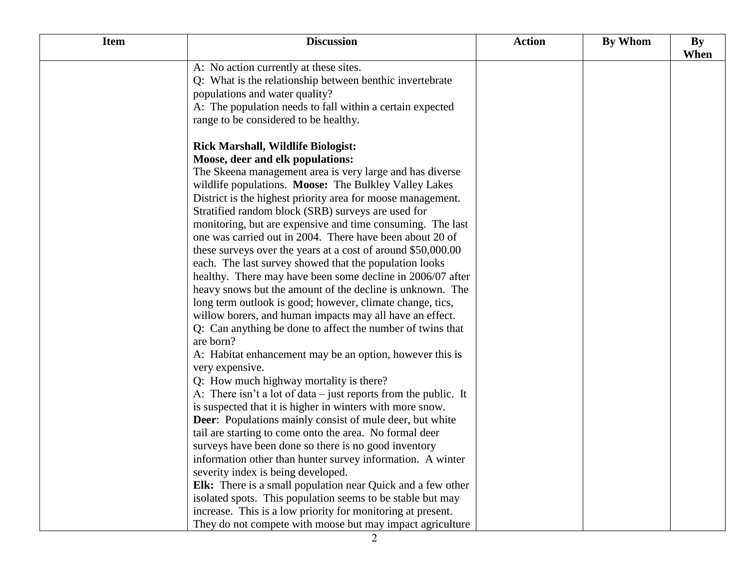| <b>Item</b> | <b>Discussion</b>                                                  | <b>Action</b> | <b>By Whom</b> | <b>By</b><br>When |
|-------------|--------------------------------------------------------------------|---------------|----------------|-------------------|
|             | A: No action currently at these sites.                             |               |                |                   |
|             | Q: What is the relationship between benthic invertebrate           |               |                |                   |
|             | populations and water quality?                                     |               |                |                   |
|             | A: The population needs to fall within a certain expected          |               |                |                   |
|             | range to be considered to be healthy.                              |               |                |                   |
|             | <b>Rick Marshall, Wildlife Biologist:</b>                          |               |                |                   |
|             | Moose, deer and elk populations:                                   |               |                |                   |
|             | The Skeena management area is very large and has diverse           |               |                |                   |
|             | wildlife populations. Moose: The Bulkley Valley Lakes              |               |                |                   |
|             | District is the highest priority area for moose management.        |               |                |                   |
|             | Stratified random block (SRB) surveys are used for                 |               |                |                   |
|             | monitoring, but are expensive and time consuming. The last         |               |                |                   |
|             | one was carried out in 2004. There have been about 20 of           |               |                |                   |
|             | these surveys over the years at a cost of around \$50,000.00       |               |                |                   |
|             | each. The last survey showed that the population looks             |               |                |                   |
|             | healthy. There may have been some decline in 2006/07 after         |               |                |                   |
|             | heavy snows but the amount of the decline is unknown. The          |               |                |                   |
|             | long term outlook is good; however, climate change, tics,          |               |                |                   |
|             | willow borers, and human impacts may all have an effect.           |               |                |                   |
|             | Q: Can anything be done to affect the number of twins that         |               |                |                   |
|             | are born?                                                          |               |                |                   |
|             | A: Habitat enhancement may be an option, however this is           |               |                |                   |
|             | very expensive.                                                    |               |                |                   |
|             | Q: How much highway mortality is there?                            |               |                |                   |
|             | A: There isn't a lot of data $-$ just reports from the public. It  |               |                |                   |
|             | is suspected that it is higher in winters with more snow.          |               |                |                   |
|             | <b>Deer:</b> Populations mainly consist of mule deer, but white    |               |                |                   |
|             | tail are starting to come onto the area. No formal deer            |               |                |                   |
|             | surveys have been done so there is no good inventory               |               |                |                   |
|             | information other than hunter survey information. A winter         |               |                |                   |
|             | severity index is being developed.                                 |               |                |                   |
|             | <b>Elk:</b> There is a small population near Quick and a few other |               |                |                   |
|             | isolated spots. This population seems to be stable but may         |               |                |                   |
|             | increase. This is a low priority for monitoring at present.        |               |                |                   |
|             | They do not compete with moose but may impact agriculture          |               |                |                   |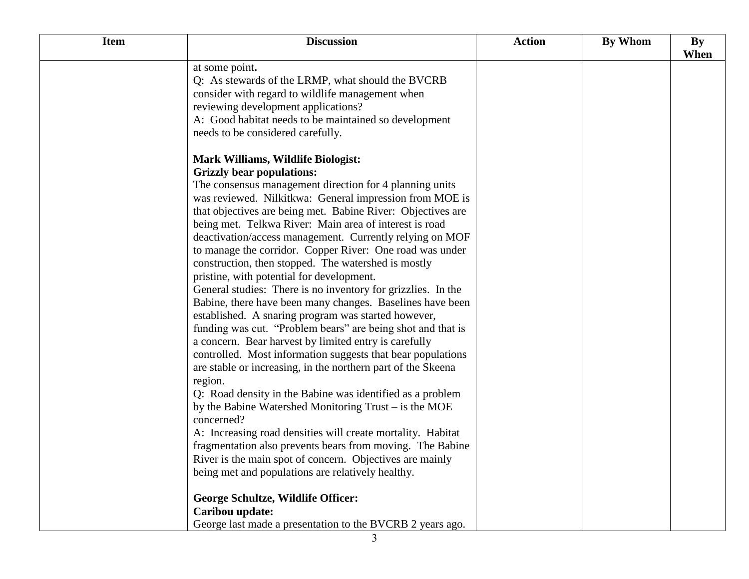| <b>Item</b> | <b>Discussion</b>                                            | <b>Action</b> | By Whom | By   |
|-------------|--------------------------------------------------------------|---------------|---------|------|
|             |                                                              |               |         | When |
|             | at some point.                                               |               |         |      |
|             | Q: As stewards of the LRMP, what should the BVCRB            |               |         |      |
|             | consider with regard to wildlife management when             |               |         |      |
|             | reviewing development applications?                          |               |         |      |
|             | A: Good habitat needs to be maintained so development        |               |         |      |
|             | needs to be considered carefully.                            |               |         |      |
|             | <b>Mark Williams, Wildlife Biologist:</b>                    |               |         |      |
|             | <b>Grizzly bear populations:</b>                             |               |         |      |
|             | The consensus management direction for 4 planning units      |               |         |      |
|             | was reviewed. Nilkitkwa: General impression from MOE is      |               |         |      |
|             | that objectives are being met. Babine River: Objectives are  |               |         |      |
|             | being met. Telkwa River: Main area of interest is road       |               |         |      |
|             | deactivation/access management. Currently relying on MOF     |               |         |      |
|             | to manage the corridor. Copper River: One road was under     |               |         |      |
|             | construction, then stopped. The watershed is mostly          |               |         |      |
|             | pristine, with potential for development.                    |               |         |      |
|             | General studies: There is no inventory for grizzlies. In the |               |         |      |
|             | Babine, there have been many changes. Baselines have been    |               |         |      |
|             | established. A snaring program was started however,          |               |         |      |
|             | funding was cut. "Problem bears" are being shot and that is  |               |         |      |
|             | a concern. Bear harvest by limited entry is carefully        |               |         |      |
|             | controlled. Most information suggests that bear populations  |               |         |      |
|             | are stable or increasing, in the northern part of the Skeena |               |         |      |
|             | region.                                                      |               |         |      |
|             | Q: Road density in the Babine was identified as a problem    |               |         |      |
|             | by the Babine Watershed Monitoring Trust – is the MOE        |               |         |      |
|             | concerned?                                                   |               |         |      |
|             | A: Increasing road densities will create mortality. Habitat  |               |         |      |
|             | fragmentation also prevents bears from moving. The Babine    |               |         |      |
|             | River is the main spot of concern. Objectives are mainly     |               |         |      |
|             | being met and populations are relatively healthy.            |               |         |      |
|             | <b>George Schultze, Wildlife Officer:</b>                    |               |         |      |
|             | Caribou update:                                              |               |         |      |
|             | George last made a presentation to the BVCRB 2 years ago.    |               |         |      |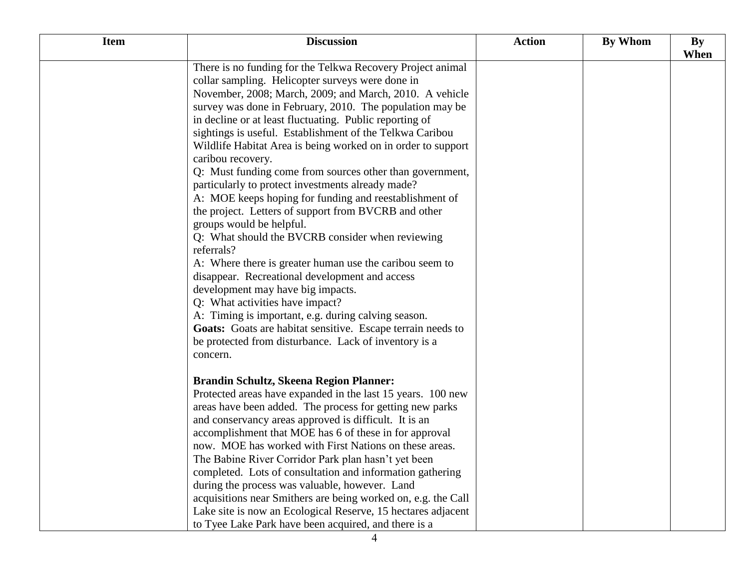| <b>Item</b> | <b>Discussion</b>                                             | <b>Action</b> | By Whom | By<br>When |
|-------------|---------------------------------------------------------------|---------------|---------|------------|
|             | There is no funding for the Telkwa Recovery Project animal    |               |         |            |
|             | collar sampling. Helicopter surveys were done in              |               |         |            |
|             | November, 2008; March, 2009; and March, 2010. A vehicle       |               |         |            |
|             | survey was done in February, 2010. The population may be      |               |         |            |
|             | in decline or at least fluctuating. Public reporting of       |               |         |            |
|             | sightings is useful. Establishment of the Telkwa Caribou      |               |         |            |
|             | Wildlife Habitat Area is being worked on in order to support  |               |         |            |
|             | caribou recovery.                                             |               |         |            |
|             | Q: Must funding come from sources other than government,      |               |         |            |
|             | particularly to protect investments already made?             |               |         |            |
|             | A: MOE keeps hoping for funding and reestablishment of        |               |         |            |
|             | the project. Letters of support from BVCRB and other          |               |         |            |
|             | groups would be helpful.                                      |               |         |            |
|             | Q: What should the BVCRB consider when reviewing              |               |         |            |
|             | referrals?                                                    |               |         |            |
|             | A: Where there is greater human use the caribou seem to       |               |         |            |
|             | disappear. Recreational development and access                |               |         |            |
|             | development may have big impacts.                             |               |         |            |
|             | Q: What activities have impact?                               |               |         |            |
|             | A: Timing is important, e.g. during calving season.           |               |         |            |
|             | Goats: Goats are habitat sensitive. Escape terrain needs to   |               |         |            |
|             | be protected from disturbance. Lack of inventory is a         |               |         |            |
|             | concern.                                                      |               |         |            |
|             | <b>Brandin Schultz, Skeena Region Planner:</b>                |               |         |            |
|             | Protected areas have expanded in the last 15 years. 100 new   |               |         |            |
|             | areas have been added. The process for getting new parks      |               |         |            |
|             | and conservancy areas approved is difficult. It is an         |               |         |            |
|             | accomplishment that MOE has 6 of these in for approval        |               |         |            |
|             | now. MOE has worked with First Nations on these areas.        |               |         |            |
|             | The Babine River Corridor Park plan hasn't yet been           |               |         |            |
|             | completed. Lots of consultation and information gathering     |               |         |            |
|             | during the process was valuable, however. Land                |               |         |            |
|             | acquisitions near Smithers are being worked on, e.g. the Call |               |         |            |
|             | Lake site is now an Ecological Reserve, 15 hectares adjacent  |               |         |            |
|             | to Tyee Lake Park have been acquired, and there is a          |               |         |            |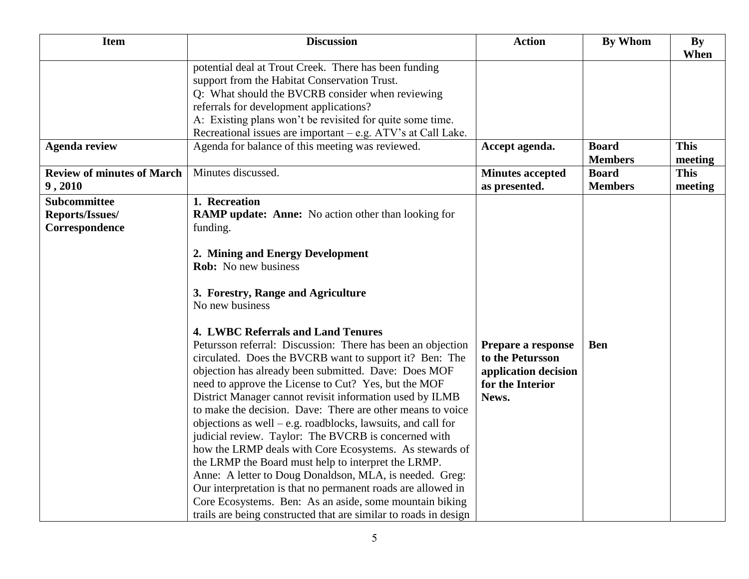| <b>Item</b>                                              | <b>Discussion</b>                                                                                                                                                                                                                                                                                                                                                                                                                                                                                                                                                                                                                                                                                                                                                                                                                                                                                                                                                                                                                                                                                                                        | <b>Action</b>                                                                               | <b>By Whom</b>                 | <b>By</b><br>When      |
|----------------------------------------------------------|------------------------------------------------------------------------------------------------------------------------------------------------------------------------------------------------------------------------------------------------------------------------------------------------------------------------------------------------------------------------------------------------------------------------------------------------------------------------------------------------------------------------------------------------------------------------------------------------------------------------------------------------------------------------------------------------------------------------------------------------------------------------------------------------------------------------------------------------------------------------------------------------------------------------------------------------------------------------------------------------------------------------------------------------------------------------------------------------------------------------------------------|---------------------------------------------------------------------------------------------|--------------------------------|------------------------|
|                                                          | potential deal at Trout Creek. There has been funding<br>support from the Habitat Conservation Trust.<br>Q: What should the BVCRB consider when reviewing<br>referrals for development applications?<br>A: Existing plans won't be revisited for quite some time.<br>Recreational issues are important - e.g. ATV's at Call Lake.                                                                                                                                                                                                                                                                                                                                                                                                                                                                                                                                                                                                                                                                                                                                                                                                        |                                                                                             |                                |                        |
| <b>Agenda review</b>                                     | Agenda for balance of this meeting was reviewed.                                                                                                                                                                                                                                                                                                                                                                                                                                                                                                                                                                                                                                                                                                                                                                                                                                                                                                                                                                                                                                                                                         | Accept agenda.                                                                              | <b>Board</b><br><b>Members</b> | <b>This</b><br>meeting |
| <b>Review of minutes of March</b><br>9,2010              | Minutes discussed.                                                                                                                                                                                                                                                                                                                                                                                                                                                                                                                                                                                                                                                                                                                                                                                                                                                                                                                                                                                                                                                                                                                       | <b>Minutes accepted</b><br>as presented.                                                    | <b>Board</b><br><b>Members</b> | <b>This</b><br>meeting |
| <b>Subcommittee</b><br>Reports/Issues/<br>Correspondence | 1. Recreation<br><b>RAMP update: Anne:</b> No action other than looking for<br>funding.<br>2. Mining and Energy Development<br><b>Rob:</b> No new business<br>3. Forestry, Range and Agriculture<br>No new business<br><b>4. LWBC Referrals and Land Tenures</b><br>Petursson referral: Discussion: There has been an objection<br>circulated. Does the BVCRB want to support it? Ben: The<br>objection has already been submitted. Dave: Does MOF<br>need to approve the License to Cut? Yes, but the MOF<br>District Manager cannot revisit information used by ILMB<br>to make the decision. Dave: There are other means to voice<br>objections as well – e.g. roadblocks, lawsuits, and call for<br>judicial review. Taylor: The BVCRB is concerned with<br>how the LRMP deals with Core Ecosystems. As stewards of<br>the LRMP the Board must help to interpret the LRMP.<br>Anne: A letter to Doug Donaldson, MLA, is needed. Greg:<br>Our interpretation is that no permanent roads are allowed in<br>Core Ecosystems. Ben: As an aside, some mountain biking<br>trails are being constructed that are similar to roads in design | Prepare a response<br>to the Petursson<br>application decision<br>for the Interior<br>News. | <b>Ben</b>                     |                        |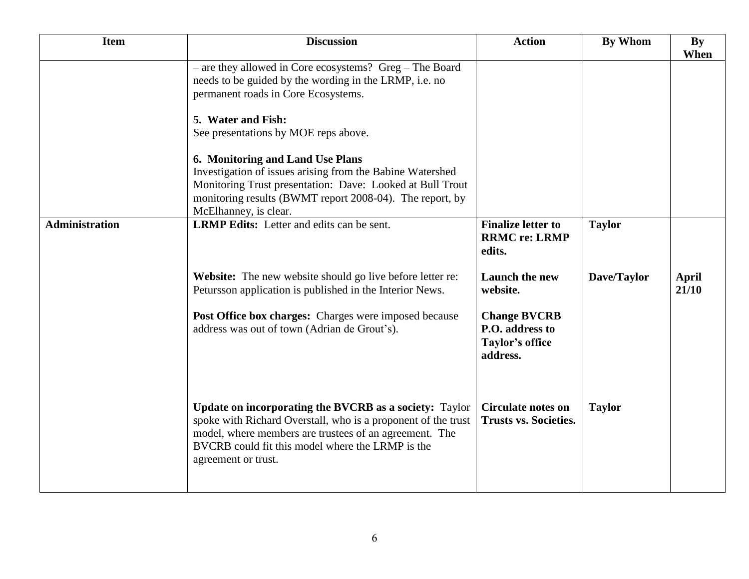| <b>Item</b>           | <b>Discussion</b>                                                                                                                                                                                                                                                   | <b>Action</b>                                                         | <b>By Whom</b> | <b>By</b><br>When |
|-----------------------|---------------------------------------------------------------------------------------------------------------------------------------------------------------------------------------------------------------------------------------------------------------------|-----------------------------------------------------------------------|----------------|-------------------|
|                       | - are they allowed in Core ecosystems? Greg - The Board<br>needs to be guided by the wording in the LRMP, i.e. no<br>permanent roads in Core Ecosystems.<br>5. Water and Fish:                                                                                      |                                                                       |                |                   |
|                       | See presentations by MOE reps above.<br>6. Monitoring and Land Use Plans                                                                                                                                                                                            |                                                                       |                |                   |
|                       | Investigation of issues arising from the Babine Watershed<br>Monitoring Trust presentation: Dave: Looked at Bull Trout<br>monitoring results (BWMT report 2008-04). The report, by<br>McElhanney, is clear.                                                         |                                                                       |                |                   |
| <b>Administration</b> | <b>LRMP Edits:</b> Letter and edits can be sent.                                                                                                                                                                                                                    | <b>Finalize letter to</b><br><b>RRMC re: LRMP</b><br>edits.           | <b>Taylor</b>  |                   |
|                       | Website: The new website should go live before letter re:<br>Petursson application is published in the Interior News.                                                                                                                                               | <b>Launch the new</b><br>website.                                     | Dave/Taylor    | April<br>21/10    |
|                       | Post Office box charges: Charges were imposed because<br>address was out of town (Adrian de Grout's).                                                                                                                                                               | <b>Change BVCRB</b><br>P.O. address to<br>Taylor's office<br>address. |                |                   |
|                       | <b>Update on incorporating the BVCRB as a society:</b> Taylor<br>spoke with Richard Overstall, who is a proponent of the trust<br>model, where members are trustees of an agreement. The<br>BVCRB could fit this model where the LRMP is the<br>agreement or trust. | <b>Circulate notes on</b><br><b>Trusts vs. Societies.</b>             | <b>Taylor</b>  |                   |